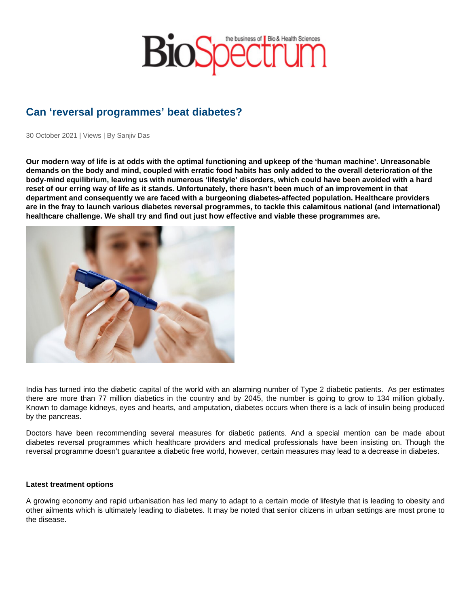## Can 'reversal programmes' beat diabetes?

30 October 2021 | Views | By Sanjiv Das

Our modern way of life is at odds with the optimal functioning and upkeep of the 'human machine'. Unreasonable demands on the body and mind, coupled with erratic food habits has only added to the overall deterioration of the body-mind equilibrium, leaving us with numerous 'lifestyle' disorders, which could have been avoided with a hard reset of our erring way of life as it stands. Unfortunately, there hasn't been much of an improvement in that department and consequently we are faced with a burgeoning diabetes-affected population. Healthcare providers are in the fray to launch various diabetes reversal programmes, to tackle this calamitous national (and international) healthcare challenge. We shall try and find out just how effective and viable these programmes are.

India has turned into the diabetic capital of the world with an alarming number of Type 2 diabetic patients. As per estimates there are more than 77 million diabetics in the country and by 2045, the number is going to grow to 134 million globally. Known to damage kidneys, eyes and hearts, and amputation, diabetes occurs when there is a lack of insulin being produced by the pancreas.

Doctors have been recommending several measures for diabetic patients. And a special mention can be made about diabetes reversal programmes which healthcare providers and medical professionals have been insisting on. Though the reversal programme doesn't guarantee a diabetic free world, however, certain measures may lead to a decrease in diabetes.

Latest treatment options

A growing economy and rapid urbanisation has led many to adapt to a certain mode of lifestyle that is leading to obesity and other ailments which is ultimately leading to diabetes. It may be noted that senior citizens in urban settings are most prone to the disease.